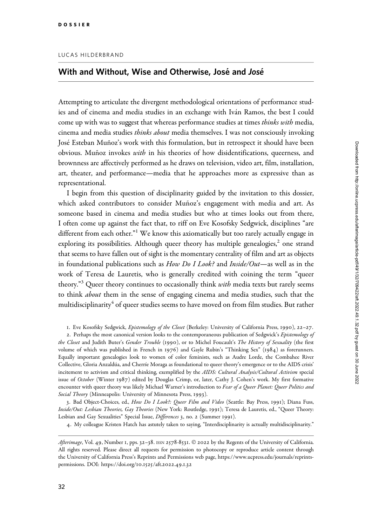## With and Without, Wise and Otherwise, José and José

Attempting to articulate the divergent methodological orientations of performance studies and of cinema and media studies in an exchange with Iván Ramos, the best I could come up with was to suggest that whereas performance studies at times *thinks with* media, cinema and media studies thinks about media themselves. I was not consciously invoking José Esteban Muñoz's work with this formulation, but in retrospect it should have been obvious. Muñoz invokes *with* in his theories of how disidentifications, queerness, and brownness are affectively performed as he draws on television, video art, film, installation, art, theater, and performance—media that he approaches more as expressive than as representational.

I begin from this question of disciplinarity guided by the invitation to this dossier, which asked contributors to consider Muñoz's engagement with media and art. As someone based in cinema and media studies but who at times looks out from there, I often come up against the fact that, to riff on Eve Kosofsky Sedgwick, disciplines "are different from each other." $1$  We know this axiomatically but too rarely actually engage in exploring its possibilities. Although queer theory has multiple genealogies, $\lambda$  one strand that seems to have fallen out of sight is the momentary centrality of film and art as objects in foundational publications such as How Do I Look? and Inside/Out—as well as in the work of Teresa de Lauretis, who is generally credited with coining the term "queer theory."<sup>3</sup> Queer theory continues to occasionally think *with* media texts but rarely seems to think *about* them in the sense of engaging cinema and media studies, such that the multidisciplinarity<sup>4</sup> of queer studies seems to have moved on from film studies. But rather

1. Eve Kosofsky Sedgwick, Epistemology of the Closet (Berkeley: University of California Press, 1990), 22–27.

2. Perhaps the most canonical version looks to the contemporaneous publication of Sedgwick's Epistemology of the Closet and Judith Buter's Gender Trouble (1990), or to Michel Foucault's The History of Sexuality (the first volume of which was published in French in 1976) and Gayle Rubin's "Thinking Sex" (1984) as forerunners. Equally important genealogies look to women of color feminists, such as Audre Lorde, the Combahee River Collective, Gloria Anzaldu´a, and Cherrı´e Moraga as foundational to queer theory's emergence or to the AIDS crisis' incitement to activism and critical thinking, exemplified by the AIDS: Cultural Analysis/Cultural Activism special issue of October (Winter 1987) edited by Douglas Crimp, or, later, Cathy J. Cohen's work. My first formative encounter with queer theory was likely Michael Warner's introduction to Fear of a Queer Planet: Queer Politics and Social Theory (Minneapolis: University of Minnesota Press, 1993).

3. Bad Object-Choices, ed., How Do I Look?: Queer Film and Video (Seattle: Bay Press, 1991); Diana Fuss, Inside/Out: Lesbian Theories, Gay Theories (New York: Routledge, 1991); Teresa de Lauretis, ed., "Queer Theory: Lesbian and Gay Sexualities" Special Issue, Differences 3, no. 2 (Summer 1991).

4. My colleague Kristen Hatch has astutely taken to saying, "Interdisciplinarity is actually multidisciplinarity."

Afterimage, Vol. 49, Number 1, pps. 32-38. ISSN 2578-8531. © 2022 by the Regents of the University of California. All rights reserved. Please direct all requests for permission to photocopy or reproduce article content through the University of California Press's Reprints and Permissions web page, [https://www.ucpress.edu/journals/reprints](https://www.ucpress.edu/journals/reprints-permissions)[permissions.](https://www.ucpress.edu/journals/reprints-permissions) [DOI: https://doi.org/](https://doi.org/10.1525/aft.2022.49.1.32)10.1525/aft.2022.49.1.32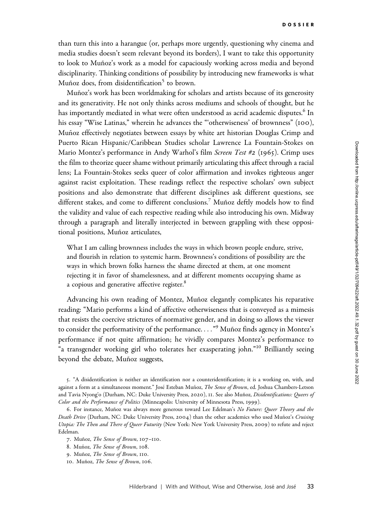than turn this into a harangue (or, perhaps more urgently, questioning why cinema and media studies doesn't seem relevant beyond its borders), I want to take this opportunity to look to Muñoz's work as a model for capaciously working across media and beyond disciplinarity. Thinking conditions of possibility by introducing new frameworks is what Muñoz does, from disidentification<sup>5</sup> to brown.

Muñoz's work has been worldmaking for scholars and artists because of its generosity and its generativity. He not only thinks across mediums and schools of thought, but he has importantly mediated in what were often understood as acrid academic disputes.<sup>6</sup> In his essay "Wise Latinas," wherein he advances the "'otherwiseness' of brownness" (100), Muñoz effectively negotiates between essays by white art historian Douglas Crimp and Puerto Rican Hispanic/Caribbean Studies scholar Lawrence La Fountain-Stokes on Mario Montez's performance in Andy Warhol's film Screen Test #2 (1965). Crimp uses the film to theorize queer shame without primarily articulating this affect through a racial lens; La Fountain-Stokes seeks queer of color affirmation and invokes righteous anger against racist exploitation. These readings reflect the respective scholars' own subject positions and also demonstrate that different disciplines ask different questions, see different stakes, and come to different conclusions.<sup>7</sup> Muñoz deftly models how to find the validity and value of each respective reading while also introducing his own. Midway through a paragraph and literally interjected in between grappling with these oppositional positions, Muñoz articulates,

What I am calling brownness includes the ways in which brown people endure, strive, and flourish in relation to systemic harm. Brownness's conditions of possibility are the ways in which brown folks harness the shame directed at them, at one moment rejecting it in favor of shamelessness, and at different moments occupying shame as a copious and generative affective register.<sup>8</sup>

Advancing his own reading of Montez, Muñoz elegantly complicates his reparative reading: "Mario performs a kind of affective otherwiseness that is conveyed as a mimesis that resists the coercive strictures of normative gender, and in doing so allows the viewer to consider the performativity of the performance. . . . "<sup>9</sup> Muñoz finds agency in Montez's performance if not quite affirmation; he vividly compares Montez's performance to "a transgender working girl who tolerates her exasperating john."<sup>10</sup> Brilliantly seeing beyond the debate, Muñoz suggests,

5. "A disidentification is neither an identification nor a counteridentification; it is a working on, with, and against a form at a simultaneous moment." José Esteban Muñoz, The Sense of Brown, ed. Joshua Chambers-Letson and Tavia Nyong'o (Durham, NC: Duke University Press, 2020), 11. See also Muñoz, Disidentifications: Oueers of Color and the Performance of Politics (Minneapolis: University of Minnesota Press, 1999).

<sup>6.</sup> For instance, Muñoz was always more generous toward Lee Edelman's No Future: Queer Theory and the Death Drive (Durham, NC: Duke University Press, 2004) than the other academics who used Muñoz's Cruising Utopia: The Then and There of Queer Futurity (New York: New York University Press, 2009) to refute and reject Edelman.

<sup>7.</sup> Muñoz, The Sense of Brown, 107-110.

<sup>8.</sup> Muñoz, The Sense of Brown, 108.

<sup>9.</sup> Muñoz, The Sense of Brown, 110.

<sup>10.</sup> Muñoz, The Sense of Brown, 106.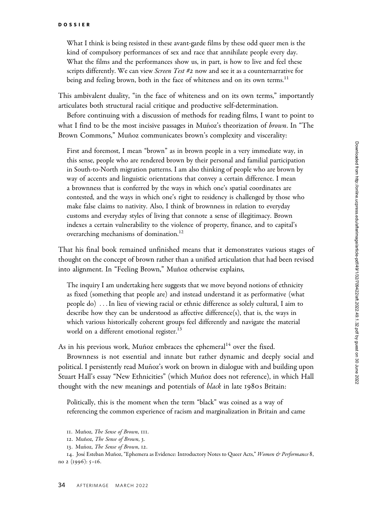What I think is being resisted in these avant-garde films by these odd queer men is the kind of compulsory performances of sex and race that annihilate people every day. What the films and the performances show us, in part, is how to live and feel these scripts differently. We can view Screen Test #2 now and see it as a counternarrative for being and feeling brown, both in the face of whiteness and on its own terms.<sup>11</sup>

This ambivalent duality, "in the face of whiteness and on its own terms," importantly articulates both structural racial critique and productive self-determination.

Before continuing with a discussion of methods for reading films, I want to point to what I find to be the most incisive passages in Muñoz's theorization of *brown*. In "The Brown Commons," Muñoz communicates brown's complexity and viscerality:

First and foremost, I mean "brown" as in brown people in a very immediate way, in this sense, people who are rendered brown by their personal and familial participation in South-to-North migration patterns. I am also thinking of people who are brown by way of accents and linguistic orientations that convey a certain difference. I mean a brownness that is conferred by the ways in which one's spatial coordinates are contested, and the ways in which one's right to residency is challenged by those who make false claims to nativity. Also, I think of brownness in relation to everyday customs and everyday styles of living that connote a sense of illegitimacy. Brown indexes a certain vulnerability to the violence of property, finance, and to capital's overarching mechanisms of domination.<sup>12</sup>

That his final book remained unfinished means that it demonstrates various stages of thought on the concept of brown rather than a unified articulation that had been revised into alignment. In "Feeling Brown," Muñoz otherwise explains,

The inquiry I am undertaking here suggests that we move beyond notions of ethnicity as fixed (something that people are) and instead understand it as performative (what people do) ...In lieu of viewing racial or ethnic difference as solely cultural, I aim to describe how they can be understood as affective difference(s), that is, the ways in which various historically coherent groups feel differently and navigate the material world on a different emotional register.<sup>13</sup>

As in his previous work, Muñoz embraces the ephemeral<sup>14</sup> over the fixed.

Brownness is not essential and innate but rather dynamic and deeply social and political. I persistently read Muñoz's work on brown in dialogue with and building upon Stuart Hall's essay "New Ethnicities" (which Muñoz does not reference), in which Hall thought with the new meanings and potentials of *black* in late 1980s Britain:

Politically, this is the moment when the term "black" was coined as a way of referencing the common experience of racism and marginalization in Britain and came

14. José Esteban Muñoz, "Ephemera as Evidence: Introductory Notes to Queer Acts," Women & Performance 8, no 2 (1996): 5–16.

<sup>11.</sup> Muñoz, The Sense of Brown, 111.

<sup>12.</sup> Muñoz, The Sense of Brown, 3.

<sup>13.</sup> Muñoz, The Sense of Brown, 12.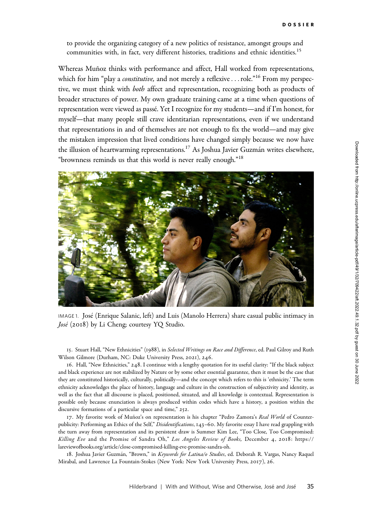to provide the organizing category of a new politics of resistance, amongst groups and communities with, in fact, very different histories, traditions and ethnic identities.<sup>15</sup>

Whereas Muñoz thinks with performance and affect, Hall worked from representations, which for him "play a *constitutive*, and not merely a reflexive...role."<sup>16</sup> From my perspective, we must think with both affect and representation, recognizing both as products of broader structures of power. My own graduate training came at a time when questions of representation were viewed as passé. Yet I recognize for my students—and if I'm honest, for myself—that many people still crave identitarian representations, even if we understand that representations in and of themselves are not enough to fix the world—and may give the mistaken impression that lived conditions have changed simply because we now have the illusion of heartwarming representations.<sup>17</sup> As Joshua Javier Guzmán writes elsewhere, "brownness reminds us that this world is never really enough."18



IMAGE 1. Jose´ (Enrique Salanic, left) and Luis (Manolo Herrera) share casual public intimacy in José (2018) by Li Cheng; courtesy YQ Studio.

15. Stuart Hall, "New Ethnicities" (1988), in Selected Writings on Race and Difference, ed. Paul Gilroy and Ruth Wilson Gilmore (Durham, NC: Duke University Press, 2021), 246.

16. Hall, "New Ethnicities," 248. I continue with a lengthy quotation for its useful clarity: "If the black subject and black experience are not stabilized by Nature or by some other essential guarantee, then it must be the case that they are constituted historically, culturally, politically—and the concept which refers to this is 'ethnicity.' The term ethnicity acknowledges the place of history, language and culture in the construction of subjectivity and identity, as well as the fact that all discourse is placed, positioned, situated, and all knowledge is contextual. Representation is possible only because enunciation is always produced within codes which have a history, a position within the discursive formations of a particular space and time," 252.

17. My favorite work of Muñoz's on representation is his chapter "Pedro Zamora's Real World of Counterpublicity: Performing an Ethics of the Self," Disidentifications, 143–60. My favorite essay I have read grappling with the turn away from representation and its persistent draw is Summer Kim Lee, "Too Close, Too Compromised: Killing Eve and the Promise of Sandra Oh," Los Angeles Review of Books, December 4, 2018: [https://](https://lareviewofbooks.org/article/close-compromised-killing-eve-promise-sandra-oh) [lareviewofbooks.org/article/close-compromised-killing-eve-promise-sandra-oh.](https://lareviewofbooks.org/article/close-compromised-killing-eve-promise-sandra-oh)

18. Joshua Javier Guzmán, "Brown," in Keywords for Latina/o Studies, ed. Deborah R. Vargas, Nancy Raquel Mirabal, and Lawrence La Fountain-Stokes (New York: New York University Press, 2017), 26.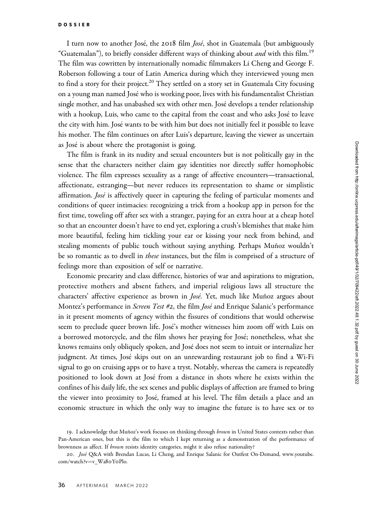I turn now to another José, the 2018 film *José*, shot in Guatemala (but ambiguously "Guatemalan"), to briefly consider different ways of thinking about *and* with this film.<sup>19</sup> The film was cowritten by internationally nomadic filmmakers Li Cheng and George F. Roberson following a tour of Latin America during which they interviewed young men to find a story for their project.<sup>20</sup> They settled on a story set in Guatemala City focusing on a young man named José who is working poor, lives with his fundamentalist Christian single mother, and has unabashed sex with other men. Jose´ develops a tender relationship with a hookup, Luis, who came to the capital from the coast and who asks José to leave the city with him. José wants to be with him but does not initially feel it possible to leave his mother. The film continues on after Luis's departure, leaving the viewer as uncertain as José is about where the protagonist is going.

The film is frank in its nudity and sexual encounters but is not politically gay in the sense that the characters neither claim gay identities nor directly suffer homophobic violence. The film expresses sexuality as a range of affective encounters—transactional, affectionate, estranging—but never reduces its representation to shame or simplistic affirmation. *José* is affectively queer in capturing the feeling of particular moments and conditions of queer intimacies: recognizing a trick from a hookup app in person for the first time, toweling off after sex with a stranger, paying for an extra hour at a cheap hotel so that an encounter doesn't have to end yet, exploring a crush's blemishes that make him more beautiful, feeling him tickling your ear or kissing your neck from behind, and stealing moments of public touch without saying anything. Perhaps Muñoz wouldn't be so romantic as to dwell in *these* instances, but the film is comprised of a structure of feelings more than exposition of self or narrative.

Economic precarity and class difference, histories of war and aspirations to migration, protective mothers and absent fathers, and imperial religious laws all structure the characters' affective experience as brown in *José*. Yet, much like Muñoz argues about Montez's performance in *Screen Test #2*, the film *José* and Enrique Salanic's performance in it present moments of agency within the fissures of conditions that would otherwise seem to preclude queer brown life. Jose´'s mother witnesses him zoom off with Luis on a borrowed motorcycle, and the film shows her praying for José; nonetheless, what she knows remains only obliquely spoken, and José does not seem to intuit or internalize her judgment. At times, José skips out on an unrewarding restaurant job to find a Wi-Fi signal to go on cruising apps or to have a tryst. Notably, whereas the camera is repeatedly positioned to look down at Jose´ from a distance in shots where he exists within the confines of his daily life, the sex scenes and public displays of affection are framed to bring the viewer into proximity to José, framed at his level. The film details a place and an economic structure in which the only way to imagine the future is to have sex or to

<sup>19.</sup> I acknowledge that Muñoz's work focuses on thinking through brown in United States contexts rather than Pan-American ones, but this is the film to which I kept returning as a demonstration of the performance of brownness as affect. If brown resists identity categories, might it also refuse nationality?

<sup>20.</sup> José Q&A with Brendan Lucas, Li Cheng, and Enrique Salanic for Outfest On-Demand, [www.youtube.](www.youtube.com/watch?v=v_Wa80Y0Plo) [com/watch?v](www.youtube.com/watch?v=v_Wa80Y0Plo)=[v\\_Wa](www.youtube.com/watch?v=v_Wa80Y0Plo)80YoPlo.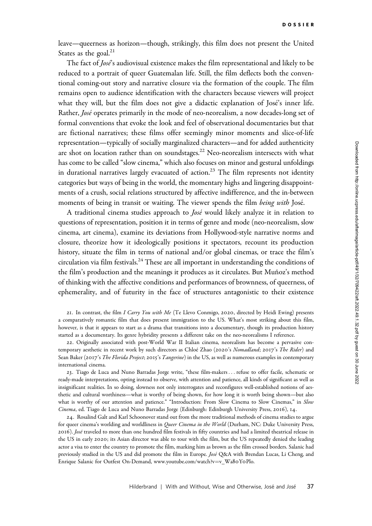leave—queerness as horizon—though, strikingly, this film does not present the United States as the goal.<sup>21</sup>

The fact of *Jose*'s audiovisual existence makes the film representational and likely to be reduced to a portrait of queer Guatemalan life. Still, the film deflects both the conventional coming-out story and narrative closure via the formation of the couple. The film remains open to audience identification with the characters because viewers will project what they will, but the film does not give a didactic explanation of José's inner life. Rather, José operates primarily in the mode of neo-neorealism, a now decades-long set of formal conventions that evoke the look and feel of observational documentaries but that are fictional narratives; these films offer seemingly minor moments and slice-of-life representation—typically of socially marginalized characters—and for added authenticity are shot on location rather than on soundstages.<sup>22</sup> Neo-neorealism intersects with what has come to be called "slow cinema," which also focuses on minor and gestural unfoldings in durational narratives largely evacuated of action.<sup>23</sup> The film represents not identity categories but ways of being in the world, the momentary highs and lingering disappointments of a crush, social relations structured by affective indifference, and the in-between moments of being in transit or waiting. The viewer spends the film *being with* José.

A traditional cinema studies approach to *José* would likely analyze it in relation to questions of representation, position it in terms of genre and mode (neo-neorealism, slow cinema, art cinema), examine its deviations from Hollywood-style narrative norms and closure, theorize how it ideologically positions it spectators, recount its production history, situate the film in terms of national and/or global cinemas, or trace the film's circulation via film festivals.<sup>24</sup> These are all important in understanding the conditions of the film's production and the meanings it produces as it circulates. But Muñoz's method of thinking with the affective conditions and performances of brownness, of queerness, of ephemerality, and of futurity in the face of structures antagonistic to their existence

21. In contrast, the film I Carry You with Me (Te Llevo Conmigo, 2020, directed by Heidi Ewing) presents a comparatively romantic film that does present immigration to the US. What's most striking about this film, however, is that it appears to start as a drama that transitions into a documentary, though its production history started as a documentary. Its genre hybridity presents a different take on the neo-neorealisms I reference.

22. Originally associated with post-World War II Italian cinema, neorealism has become a pervasive contemporary aesthetic in recent work by such directors as Chloé Zhao (2020's Nomadland; 2017's The Rider) and Sean Baker (2017's The Florida Project; 2015's Tangerine) in the US, as well as numerous examples in contemporary international cinema.

23. Tiago de Luca and Nuno Barradas Jorge write, "these film-makers ... refuse to offer facile, schematic or ready-made interpretations, opting instead to observe, with attention and patience, all kinds of significant as well as insignificant realities. In so doing, slowness not only interrogates and reconfigures well-established notions of aesthetic and cultural worthiness—what is worthy of being shown, for how long it is worth being shown—but also what is worthy of our attention and patience." "Introduction: From Slow Cinema to Slow Cinemas," in Slow Cinema, ed. Tiago de Luca and Nuno Barradas Jorge (Edinburgh: Edinburgh University Press, 2016), 14.

24. Rosalind Galt and Karl Schoonover stand out from the more traditional methods of cinema studies to argue for queer cinema's worlding and worldliness in *Queer Cinema in the World* (Durham, NC: Duke University Press, 2016). José traveled to more than one hundred film festivals in fifty countries and had a limited theatrical release in the US in early 2020; its Asian director was able to tour with the film, but the US repeatedly denied the leading actor a visa to enter the country to promote the film, marking him as brown as the film crossed borders. Salanic had previously studied in the US and did promote the film in Europe. José Q&A with Brendan Lucas, Li Cheng, and Enrique Salanic for Outfest On-Demand, [www.youtube.com/watch?v](www.youtube.com/watch?v=v_Wa80Y0Plo)=[v\\_Wa](www.youtube.com/watch?v=v_Wa80Y0Plo)8oYoPlo.